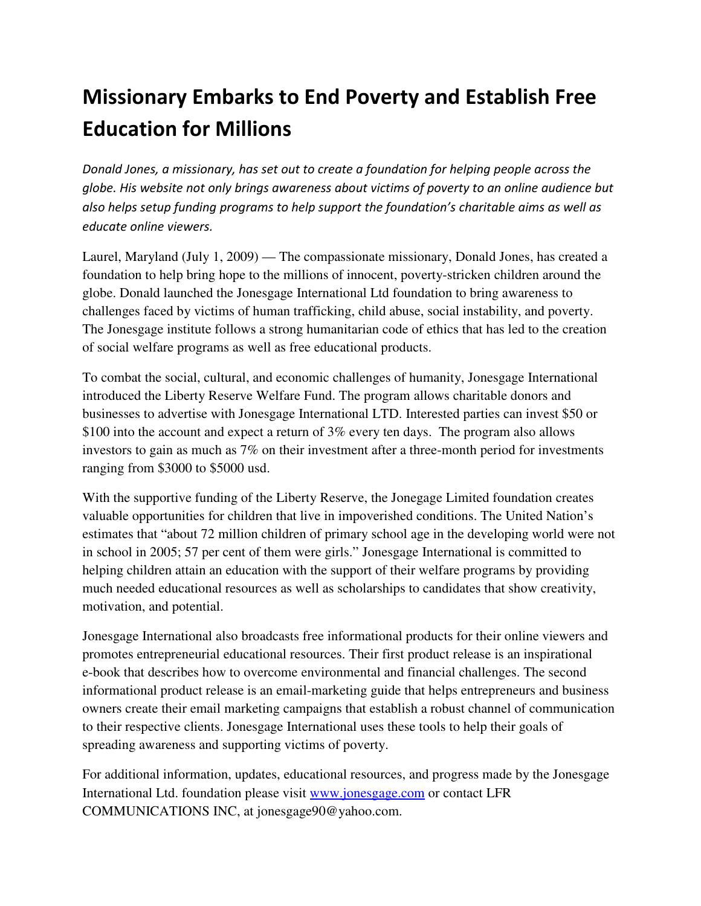## Missionary Embarks to End Poverty and Establish Free Education for Millions

Donald Jones, a missionary, has set out to create a foundation for helping people across the globe. His website not only brings awareness about victims of poverty to an online audience but also helps setup funding programs to help support the foundation's charitable aims as well as educate online viewers.

Laurel, Maryland (July 1, 2009) — The compassionate missionary, Donald Jones, has created a foundation to help bring hope to the millions of innocent, poverty-stricken children around the globe. Donald launched the Jonesgage International Ltd foundation to bring awareness to challenges faced by victims of human trafficking, child abuse, social instability, and poverty. The Jonesgage institute follows a strong humanitarian code of ethics that has led to the creation of social welfare programs as well as free educational products.

To combat the social, cultural, and economic challenges of humanity, Jonesgage International introduced the Liberty Reserve Welfare Fund. The program allows charitable donors and businesses to advertise with Jonesgage International LTD. Interested parties can invest \$50 or \$100 into the account and expect a return of 3% every ten days. The program also allows investors to gain as much as 7% on their investment after a three-month period for investments ranging from \$3000 to \$5000 usd.

With the supportive funding of the Liberty Reserve, the Jonegage Limited foundation creates valuable opportunities for children that live in impoverished conditions. The United Nation's estimates that "about 72 million children of primary school age in the developing world were not in school in 2005; 57 per cent of them were girls." Jonesgage International is committed to helping children attain an education with the support of their welfare programs by providing much needed educational resources as well as scholarships to candidates that show creativity, motivation, and potential.

Jonesgage International also broadcasts free informational products for their online viewers and promotes entrepreneurial educational resources. Their first product release is an inspirational e-book that describes how to overcome environmental and financial challenges. The second informational product release is an email-marketing guide that helps entrepreneurs and business owners create their email marketing campaigns that establish a robust channel of communication to their respective clients. Jonesgage International uses these tools to help their goals of spreading awareness and supporting victims of poverty.

For additional information, updates, educational resources, and progress made by the Jonesgage International Ltd. foundation please visit www.jonesgage.com or contact LFR COMMUNICATIONS INC, at jonesgage90@yahoo.com.